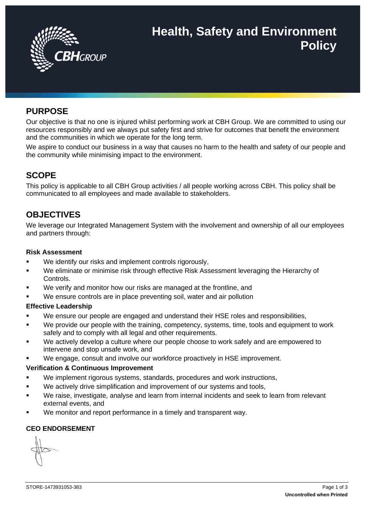

# **Health, Safety and Environment Policy**

# **PURPOSE**

Our objective is that no one is injured whilst performing work at CBH Group. We are committed to using our resources responsibly and we always put safety first and strive for outcomes that benefit the environment and the communities in which we operate for the long term.

We aspire to conduct our business in a way that causes no harm to the health and safety of our people and the community while minimising impact to the environment.

# **SCOPE**

This policy is applicable to all CBH Group activities / all people working across CBH. This policy shall be communicated to all employees and made available to stakeholders.

# **OBJECTIVES**

We leverage our Integrated Management System with the involvement and ownership of all our employees and partners through:

#### **Risk Assessment**

- We identify our risks and implement controls rigorously,
- We eliminate or minimise risk through effective Risk Assessment leveraging the Hierarchy of Controls.
- We verify and monitor how our risks are managed at the frontline, and
- We ensure controls are in place preventing soil, water and air pollution

## **Effective Leadership**

- We ensure our people are engaged and understand their HSE roles and responsibilities,
- We provide our people with the training, competency, systems, time, tools and equipment to work safely and to comply with all legal and other requirements.
- We actively develop a culture where our people choose to work safely and are empowered to intervene and stop unsafe work, and
- We engage, consult and involve our workforce proactively in HSE improvement.

## **Verification & Continuous Improvement**

- We implement rigorous systems, standards, procedures and work instructions,
- We actively drive simplification and improvement of our systems and tools,
- We raise, investigate, analyse and learn from internal incidents and seek to learn from relevant external events, and
- We monitor and report performance in a timely and transparent way.

## **CEO ENDORSEMENT**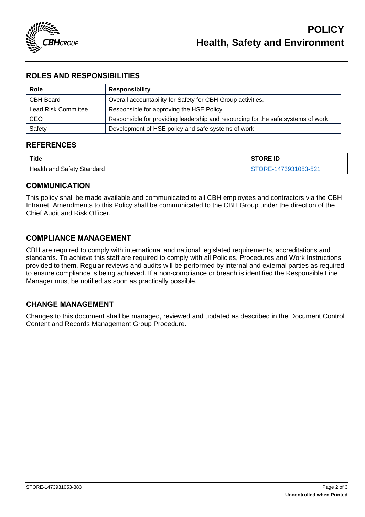

# **ROLES AND RESPONSIBILITIES**

| Role                       | <b>Responsibility</b>                                                            |  |
|----------------------------|----------------------------------------------------------------------------------|--|
| CBH Board                  | Overall accountability for Safety for CBH Group activities.                      |  |
| <b>Lead Risk Committee</b> | Responsible for approving the HSE Policy.                                        |  |
| CEO                        | Responsible for providing leadership and resourcing for the safe systems of work |  |
| Safety                     | Development of HSE policy and safe systems of work                               |  |

## **REFERENCES**

| Title                      | <b>STORE ID</b>    |
|----------------------------|--------------------|
| Health and Safety Standard | ORE-1473931053-521 |

## **COMMUNICATION**

This policy shall be made available and communicated to all CBH employees and contractors via the CBH Intranet. Amendments to this Policy shall be communicated to the CBH Group under the direction of the Chief Audit and Risk Officer.

## **COMPLIANCE MANAGEMENT**

CBH are required to comply with international and national legislated requirements, accreditations and standards. To achieve this staff are required to comply with all Policies, Procedures and Work Instructions provided to them. Regular reviews and audits will be performed by internal and external parties as required to ensure compliance is being achieved. If a non-compliance or breach is identified the Responsible Line Manager must be notified as soon as practically possible.

## **CHANGE MANAGEMENT**

Changes to this document shall be managed, reviewed and updated as described in the Document Control Content and Records Management Group Procedure.